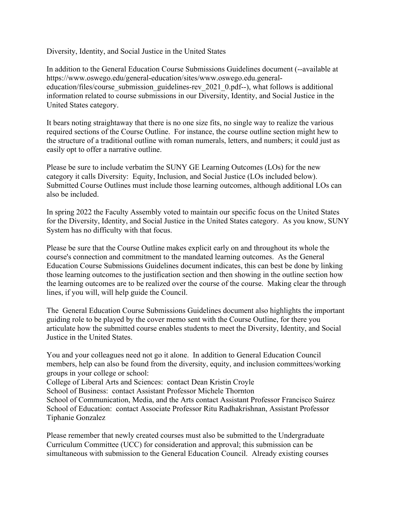Diversity, Identity, and Social Justice in the United States

In addition to the General Education Course Submissions Guidelines document (--available at https://www.oswego.edu/general-education/sites/www.oswego.edu.generaleducation/files/course\_submission\_guidelines-rev\_2021\_0.pdf--), what follows is additional information related to course submissions in our Diversity, Identity, and Social Justice in the United States category.

It bears noting straightaway that there is no one size fits, no single way to realize the various required sections of the Course Outline. For instance, the course outline section might hew to the structure of a traditional outline with roman numerals, letters, and numbers; it could just as easily opt to offer a narrative outline.

Please be sure to include verbatim the SUNY GE Learning Outcomes (LOs) for the new category it calls Diversity: Equity, Inclusion, and Social Justice (LOs included below). Submitted Course Outlines must include those learning outcomes, although additional LOs can also be included.

In spring 2022 the Faculty Assembly voted to maintain our specific focus on the United States for the Diversity, Identity, and Social Justice in the United States category. As you know, SUNY System has no difficulty with that focus.

Please be sure that the Course Outline makes explicit early on and throughout its whole the course's connection and commitment to the mandated learning outcomes. As the General Education Course Submissions Guidelines document indicates, this can best be done by linking those learning outcomes to the justification section and then showing in the outline section how the learning outcomes are to be realized over the course of the course. Making clear the through lines, if you will, will help guide the Council.

The General Education Course Submissions Guidelines document also highlights the important guiding role to be played by the cover memo sent with the Course Outline, for there you articulate how the submitted course enables students to meet the Diversity, Identity, and Social Justice in the United States.

You and your colleagues need not go it alone. In addition to General Education Council members, help can also be found from the diversity, equity, and inclusion committees/working groups in your college or school:

College of Liberal Arts and Sciences: contact Dean Kristin Croyle

School of Business: contact Assistant Professor Michele Thornton

School of Communication, Media, and the Arts contact Assistant Professor Francisco Suárez School of Education: contact Associate Professor Ritu Radhakrishnan, Assistant Professor Tiphanie Gonzalez

Please remember that newly created courses must also be submitted to the Undergraduate Curriculum Committee (UCC) for consideration and approval; this submission can be simultaneous with submission to the General Education Council. Already existing courses